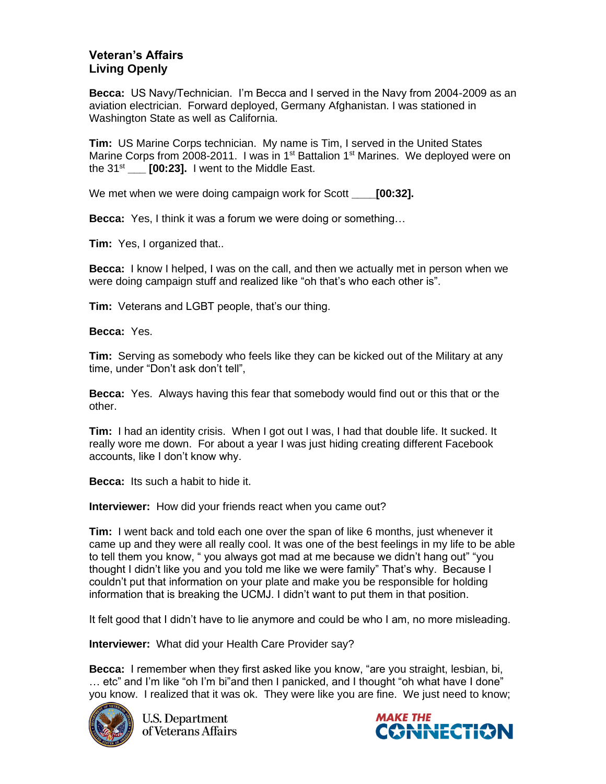## **Veteran's Affairs Living Openly**

**Becca:** US Navy/Technician. I'm Becca and I served in the Navy from 2004-2009 as an aviation electrician. Forward deployed, Germany Afghanistan. I was stationed in Washington State as well as California.

**Tim:** US Marine Corps technician. My name is Tim, I served in the United States Marine Corps from 2008-2011. I was in 1<sup>st</sup> Battalion 1<sup>st</sup> Marines. We deployed were on the  $31<sup>st</sup>$  **[00:23].** I went to the Middle East.

We met when we were doing campaign work for Scott **\_\_\_\_[00:32].**

**Becca:** Yes, I think it was a forum we were doing or something…

**Tim:** Yes, I organized that..

**Becca:** I know I helped, I was on the call, and then we actually met in person when we were doing campaign stuff and realized like "oh that's who each other is".

**Tim:** Veterans and LGBT people, that's our thing.

**Becca:** Yes.

**Tim:** Serving as somebody who feels like they can be kicked out of the Military at any time, under "Don't ask don't tell",

**Becca:** Yes. Always having this fear that somebody would find out or this that or the other.

**Tim:** I had an identity crisis. When I got out I was, I had that double life. It sucked. It really wore me down. For about a year I was just hiding creating different Facebook accounts, like I don't know why.

**Becca:** Its such a habit to hide it.

**Interviewer:** How did your friends react when you came out?

**Tim:** I went back and told each one over the span of like 6 months, just whenever it came up and they were all really cool. It was one of the best feelings in my life to be able to tell them you know, " you always got mad at me because we didn't hang out" "you thought I didn't like you and you told me like we were family" That's why. Because I couldn't put that information on your plate and make you be responsible for holding information that is breaking the UCMJ. I didn't want to put them in that position.

It felt good that I didn't have to lie anymore and could be who I am, no more misleading.

**Interviewer:** What did your Health Care Provider say?

**Becca:** I remember when they first asked like you know, "are you straight, lesbian, bi, … etc" and I'm like "oh I'm bi"and then I panicked, and I thought "oh what have I done" you know. I realized that it was ok. They were like you are fine. We just need to know;



**U.S. Department** of Veterans Affairs